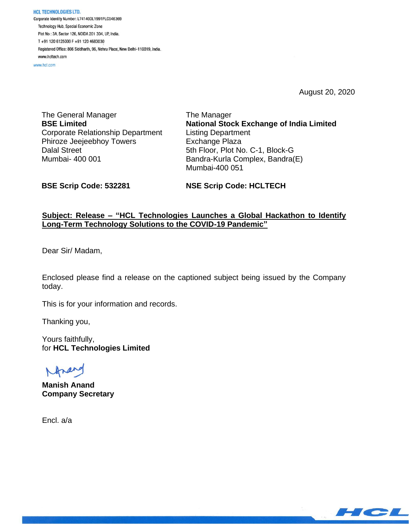HCL TECHNOLOGIES LTD. Corporate Identity Number: L74140DL1991PLC046369 Technology Hub, Special Economic Zone Plot No: 3A, Sector 126, NOIDA 201 304, UP, India. T+91 120 6125000 F+91 120 4683030 Registered Office: 806 Siddharth, 96, Nehru Place, New Delhi-110019, India. www.hcltech.com

www.hcl.com

August 20, 2020

The General Manager **BSE Limited** Corporate Relationship Department Phiroze Jeejeebhoy Towers Dalal Street Mumbai- 400 001

The Manager **National Stock Exchange of India Limited** Listing Department Exchange Plaza 5th Floor, Plot No. C-1, Block-G Bandra-Kurla Complex, Bandra(E) Mumbai-400 051

**BSE Scrip Code: 532281**

**NSE Scrip Code: HCLTECH**

## **Subject: Release – "HCL Technologies Launches a Global Hackathon to Identify Long-Term Technology Solutions to the COVID-19 Pandemic"**

Dear Sir/ Madam,

Enclosed please find a release on the captioned subject being issued by the Company today.

This is for your information and records.

Thanking you,

Yours faithfully, for **HCL Technologies Limited**

**Manish Anand Company Secretary**

Encl. a/a

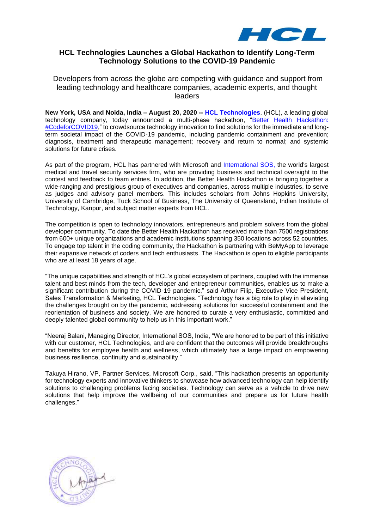

# **HCL Technologies Launches a Global Hackathon to Identify Long-Term Technology Solutions to the COVID-19 Pandemic**

Developers from across the globe are competing with guidance and support from leading technology and healthcare companies, academic experts, and thought leaders

**New York, USA and Noida, India – August 20, 2020 -- [HCL Technologies](https://www.hcltech.com/)**, (HCL), a leading global technology company, today announced a multi-phase hackathon, "Better Health Hackathon: [#CodeforCOVID19,](https://hclbetterhealth.bemyapp.com/)" to crowdsource technology innovation to find solutions for the immediate and longterm societal impact of the COVID-19 pandemic, including pandemic containment and prevention; diagnosis, treatment and therapeutic management; recovery and return to normal; and systemic solutions for future crises.

As part of the program, HCL has partnered with Microsoft and [International SOS,](https://www.internationalsos.com/) the world's largest medical and travel security services firm, who are providing business and technical oversight to the contest and feedback to team entries. In addition, the Better Health Hackathon is bringing together a wide-ranging and prestigious group of executives and companies, across multiple industries, to serve as judges and advisory panel members. This includes scholars from Johns Hopkins University, University of Cambridge, Tuck School of Business, The University of Queensland, Indian Institute of Technology, Kanpur, and subject matter experts from HCL.

The competition is open to technology innovators, entrepreneurs and problem solvers from the global developer community. To date the Better Health Hackathon has received more than 7500 registrations from 600+ unique organizations and academic institutions spanning 350 locations across 52 countries. To engage top talent in the coding community, the Hackathon is partnering with BeMyApp to leverage their expansive network of coders and tech enthusiasts. The Hackathon is open to eligible participants who are at least 18 years of age.

"The unique capabilities and strength of HCL's global ecosystem of partners, coupled with the immense talent and best minds from the tech, developer and entrepreneur communities, enables us to make a significant contribution during the COVID-19 pandemic," said Arthur Filip, Executive Vice President, Sales Transformation & Marketing, HCL Technologies. "Technology has a big role to play in alleviating the challenges brought on by the pandemic, addressing solutions for successful containment and the reorientation of business and society. We are honored to curate a very enthusiastic, committed and deeply talented global community to help us in this important work."

"Neeraj Balani, Managing Director, International SOS, India, "We are honored to be part of this initiative with our customer, HCL Technologies, and are confident that the outcomes will provide breakthroughs and benefits for employee health and wellness, which ultimately has a large impact on empowering business resilience, continuity and sustainability."

Takuya Hirano, VP, Partner Services, Microsoft Corp., said, "This hackathon presents an opportunity for technology experts and innovative thinkers to showcase how advanced technology can help identify solutions to challenging problems facing societies. Technology can serve as a vehicle to drive new solutions that help improve the wellbeing of our communities and prepare us for future health challenges."

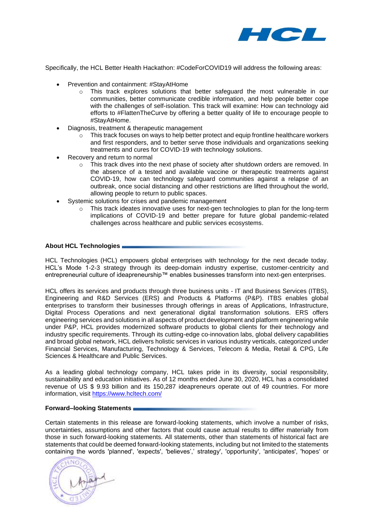

Specifically, the HCL Better Health Hackathon: #CodeForCOVID19 will address the following areas:

- Prevention and containment: #StayAtHome
	- o This track explores solutions that better safeguard the most vulnerable in our communities, better communicate credible information, and help people better cope with the challenges of self-isolation. This track will examine: How can technology aid efforts to #FlattenTheCurve by offering a better quality of life to encourage people to #StayAtHome.
- Diagnosis, treatment & therapeutic management
	- $\circ$  This track focuses on ways to help better protect and equip frontline healthcare workers and first responders, and to better serve those individuals and organizations seeking treatments and cures for COVID-19 with technology solutions.
- Recovery and return to normal
	- $\circ$  This track dives into the next phase of society after shutdown orders are removed. In the absence of a tested and available vaccine or therapeutic treatments against COVID-19, how can technology safeguard communities against a relapse of an outbreak, once social distancing and other restrictions are lifted throughout the world, allowing people to return to public spaces.
- Systemic solutions for crises and pandemic management
	- $\circ$  This track ideates innovative uses for next-gen technologies to plan for the long-term implications of COVID-19 and better prepare for future global pandemic-related challenges across healthcare and public services ecosystems.

### **About HCL Technologies**

HCL Technologies (HCL) empowers global enterprises with technology for the next decade today. HCL's Mode 1-2-3 strategy through its deep-domain industry expertise, customer-centricity and entrepreneurial culture of ideapreneurship™ enables businesses transform into next-gen enterprises.

HCL offers its services and products through three business units - IT and Business Services (ITBS), Engineering and R&D Services (ERS) and Products & Platforms (P&P). ITBS enables global enterprises to transform their businesses through offerings in areas of Applications, Infrastructure, Digital Process Operations and next generational digital transformation solutions. ERS offers engineering services and solutions in all aspects of product development and platform engineering while under P&P, HCL provides modernized software products to global clients for their technology and industry specific requirements. Through its cutting-edge co-innovation labs, global delivery capabilities and broad global network, HCL delivers holistic services in various industry verticals, categorized under Financial Services, Manufacturing, Technology & Services, Telecom & Media, Retail & CPG, Life Sciences & Healthcare and Public Services.

As a leading global technology company, HCL takes pride in its diversity, social responsibility, sustainability and education initiatives. As of 12 months ended June 30, 2020, HCL has a consolidated revenue of US \$ 9.93 billion and its 150,287 ideapreneurs operate out of 49 countries. For more information, visit <https://www.hcltech.com/>

#### **Forward–looking Statements**

Certain statements in this release are forward-looking statements, which involve a number of risks, uncertainties, assumptions and other factors that could cause actual results to differ materially from those in such forward-looking statements. All statements, other than statements of historical fact are statements that could be deemed forward-looking statements, including but not limited to the statements containing the words 'planned', 'expects', 'believes',' strategy', 'opportunity', 'anticipates', 'hopes' or